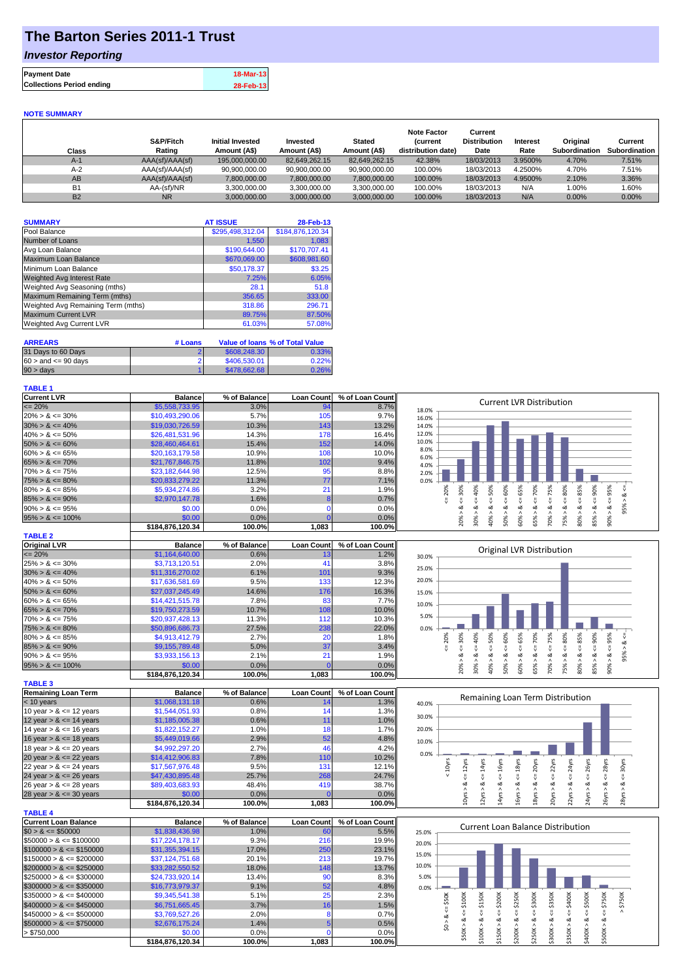## **The Barton Series 2011-1 Trust**

### *Investor Reporting*

|                                  | 18-Mar-13 |
|----------------------------------|-----------|
| <b>Collections Period ending</b> | 28-Feb-13 |

#### **NOTE SUMMARY**

| Class          | S&P/Fitch<br>Rating | <b>Initial Invested</b><br>Amount (A\$) | Invested<br>Amount (A\$) | <b>Stated</b><br>Amount (A\$) | <b>Note Factor</b><br><b>Current</b><br>distribution date) | Current<br><b>Distribution</b><br>Date | Interest<br>Rate | Original<br>Subordination | Current<br>Subordination |
|----------------|---------------------|-----------------------------------------|--------------------------|-------------------------------|------------------------------------------------------------|----------------------------------------|------------------|---------------------------|--------------------------|
| A-1            | AAA(sf)/AAA(sf)     | 195,000,000,00                          | 82.649.262.15            | 82.649.262.15                 | 42.38%                                                     | 18/03/2013                             | 3.9500%          | 4.70%                     | 7.51%                    |
| $A-2$          | AAA(sf)/AAA(sf)     | 90,900,000.00                           | 90.900.000.00            | 90,900,000.00                 | 100.00%                                                    | 18/03/2013                             | 4.2500%          | 4.70%                     | 7.51%                    |
| AB             | AAA(sf)/AAA(sf)     | 7,800,000.00                            | 7,800,000.00             | 7,800,000.00                  | 100.00%                                                    | 18/03/2013                             | 4.9500%          | 2.10%                     | 3.36%                    |
| B <sub>1</sub> | AA-(sf)/NR          | 3.300.000.00                            | 3.300.000.00             | 3.300.000.00                  | 100.00%                                                    | 18/03/2013                             | N/A              | $0.00\%$                  | $.60\%$                  |
| <b>B2</b>      | <b>NR</b>           | 3.000.000.00                            | 3.000.000.00             | 3.000.000.00                  | 100.00%                                                    | 18/03/2013                             | N/A              | 0.00%                     | $0.00\%$                 |

| <b>SUMMARY</b>                     | <b>AT ISSUE</b>  | 28-Feb-13        |
|------------------------------------|------------------|------------------|
| Pool Balance                       | \$295,498,312.04 | \$184,876,120.34 |
| Number of Loans                    | 1,550            | 1,083            |
| Avg Loan Balance                   | \$190,644.00     | \$170,707.41     |
| Maximum Loan Balance               | \$670,069.00     | \$608,981.60     |
| Minimum Loan Balance               | \$50,178.37      | \$3.25           |
| Weighted Avg Interest Rate         | 7.25%            | 6.05%            |
| Weighted Avg Seasoning (mths)      | 28.1             | 51.8             |
| Maximum Remaining Term (mths)      | 356.65           | 333.00           |
| Weighted Avg Remaining Term (mths) | 318.86           | 296.71           |
| <b>Maximum Current LVR</b>         | 89.75%           | 87.50%           |
| Weighted Avg Current LVR           | 61.03%           | 57.08%           |

| <b>ARREARS</b>            | # Loans |              | Value of Ioans % of Total Value |
|---------------------------|---------|--------------|---------------------------------|
| 31 Days to 60 Days        |         | \$608,248.30 | 0.33%                           |
| $60 >$ and $\leq 90$ davs |         | \$406,530.01 | 0.22%                           |
| $90 > \text{days}$        |         | \$478,662,68 | 0.26%                           |

### **TABLE 1**

| <b>Current LVR</b>   | <b>Balance</b>   | % of Balance | <b>Loan Count</b> | % of Loan Count | <b>Current LVR Distribution</b>                                |
|----------------------|------------------|--------------|-------------------|-----------------|----------------------------------------------------------------|
| $\leq$ 20%           | \$5,558,733.95   | 3.0%         | 94                | 8.7%            | 18.0%                                                          |
| $20\% > 8 \le 30\%$  | \$10,493,290.06  | 5.7%         | 105               | 9.7%            | 16.0%                                                          |
| $30\% > 8 \le 40\%$  | \$19,030,726.59  | 10.3%        | 143               | 13.2%           | 14.0%                                                          |
| $40\% > 8 \le 50\%$  | \$26,481,531.96  | 14.3%        | 178               | 16.4%           | 12.0%                                                          |
| $50\% > 8 \le 60\%$  | \$28,460,464.61  | 15.4%        | 152               | 14.0%           | 10.0%                                                          |
| $60\% > 8 \le 65\%$  | \$20,163,179.58  | 10.9%        | 108               | 10.0%           | 8.0%<br>6.0%                                                   |
| $65\% > 8 \le 70\%$  | \$21,767,846,75  | 11.8%        | 102               | 9.4%            | 4.0%                                                           |
| $70\% > 8 \le 75\%$  | \$23,182,644.98  | 12.5%        | 95                | 8.8%            | 2.0%                                                           |
| $75\% > 8 \le 80\%$  | \$20,833,279.22  | 11.3%        | 77                | 7.1%            | 0.0%                                                           |
| $80\% > 8 \le 85\%$  | \$5,934,274.86   | 3.2%         | 21                | 1.9%            | 20%<br>æ<br>Š.<br>Š<br>Š.<br>Ř<br>$\circ$<br>5Ő<br>55          |
| $85\% > 8 \le 90\%$  | \$2,970,147.78   | 1.6%         |                   | 0.7%            |                                                                |
| $90\% > 8 \le 95\%$  | \$0.00           | 0.0%         |                   | 0.0%            | الأن                                                           |
| $95\% > 8 \le 100\%$ | \$0.00           | 0.0%         |                   | 0.0%            | 20%<br>0%<br>҂<br>$\frac{8}{2}$<br>æ<br>ŭn<br>∘<br>∘<br>◓<br>◠ |
|                      | \$184,876,120.34 | 100.0%       | 1,083             | 100.0%          | ıñ<br>$\infty$<br>$\infty$<br>Ō                                |
| $H = H - H$          |                  |              |                   |                 |                                                                |

| <b>TABLE 2</b>       |                        |              |                   |                 |       |                                                                               |  |
|----------------------|------------------------|--------------|-------------------|-----------------|-------|-------------------------------------------------------------------------------|--|
| <b>Original LVR</b>  | <b>Balance</b>         | % of Balance | <b>Loan Count</b> | % of Loan Count |       | Original LVR Distribution                                                     |  |
| $\leq$ 20%           | \$1,164,640,00         | 0.6%         | 13                | 1.2%            | 30.0% |                                                                               |  |
| $25\% > 8 \le 30\%$  | \$3.713.120.51         | 2.0%         | 41                | 3.8%            | 25.0% |                                                                               |  |
| $30\% > 8 \le 40\%$  | \$11,316,270.02        | 6.1%         | 101               | 9.3%            |       |                                                                               |  |
| $40\% > 8 \le 50\%$  | \$17,636,581,69        | 9.5%         | 133               | 12.3%           | 20.0% |                                                                               |  |
| $50\% > 8 \le 60\%$  | \$27.037.245.49        | 14.6%        | 176               | 16.3%           | 15.0% |                                                                               |  |
| $60\% > 8 \le 65\%$  | \$14,421,515,78        | 7.8%         | 83                | 7.7%            | 10.0% |                                                                               |  |
| $65\% > 8 \le 70\%$  | \$19,750,273.59        | 10.7%        | 108               | 10.0%           |       |                                                                               |  |
| $70\% > 8 \le 75\%$  | \$20,937,428.13        | 11.3%        | 112               | $10.3\%$        | 5.0%  |                                                                               |  |
| $75\% > 8 \le 80\%$  | \$50,896,686,73        | 27.5%        | 238               | 22.0%           | 0.0%  |                                                                               |  |
| $80\% > 8 \le 85\%$  | \$4,913,412.79         | 2.7%         | 20                | 1.8%            |       | %O<br>æ<br>20%<br>℅<br>75%<br>℅<br>70%<br>æ<br>Š<br>Š.<br>Ĥ,<br>80<br>Ř,<br>◠ |  |
| $85\% > 8 \le 90\%$  | \$9.155.789.48         | 5.0%         | 37                | 3.4%            |       |                                                                               |  |
| $90\% > 8 \le 95\%$  | \$3,933,156.13         | 2.1%         | 21                | 1.9%            |       | ∞<br>∞<br>∞<br>∞<br>∞                                                         |  |
| $95\% > 8 \le 100\%$ | \$0.00                 | $0.0\%$      |                   | $0.0\%$         |       | Õ<br>∘                                                                        |  |
|                      | <b>CARA 070 430 34</b> | 400.001      | 1002              | 400.001         |       |                                                                               |  |

| <b>TABLE 3</b>             |                  |              |                   |                 |
|----------------------------|------------------|--------------|-------------------|-----------------|
| <b>Remaining Loan Term</b> | <b>Balance</b>   | % of Balance | <b>Loan Count</b> | % of Loan Count |
| $< 10$ years               | \$1,068,131.18   | 0.6%         | 14                | 1.3%            |
| 10 year $> 8 \le 12$ years | \$1,544,051.93   | 0.8%         | 14                | 1.3%            |
| 12 year $> 8 \le 14$ years | \$1,185,005.38   | 0.6%         | 11                | 1.0%            |
| 14 year $> 8 \le 16$ years | \$1.822.152.27   | 1.0%         | 18                | 1.7%            |
| 16 year $> 8 \le 18$ years | \$5,449,019.66   | 2.9%         | 52                | 4.8%            |
| 18 year $> 8 \le 20$ years | \$4,992,297.20   | 2.7%         | 46                | 4.2%            |
| 20 year $> 8 \le 22$ years | \$14,412,906.83  | 7.8%         | 110               | 10.2%           |
| 22 year $> 8 \le 24$ years | \$17,567,976.48  | 9.5%         | 131               | 12.1%           |
| 24 year $> 8 \le 26$ years | \$47,430,895.48  | 25.7%        | 268               | 24.7%           |
| 26 year $> 8 \le 28$ years | \$89,403,683.93  | 48.4%        | 419               | 38.7%           |
| 28 year $> 8 \le 30$ years | \$0.00           | 0.0%         |                   | 0.0%            |
|                            | \$184.876.120.34 | 100.0%       | 1.083             | 100.0%          |

**\$184,876,120.34 100.0% 1,083 100.0%**

| <b>TABLE 4</b>               |                  |              |                   |                 |
|------------------------------|------------------|--------------|-------------------|-----------------|
| Current Loan Balance         | <b>Balance</b>   | % of Balance | <b>Loan Count</b> | % of Loan Count |
| $$0 > 8 \leq $50000$         | \$1,838,436,98   | 1.0%         | 60                | 5.5%            |
| $$50000 > 8 \leq $100000$    | \$17,224,178.17  | 9.3%         | 216               | 19.9%           |
| $$100000 > 8 \leq $150000$   | \$31.355.394.15  | 17.0%        | 250               | 23.1%           |
| $$150000 > 8 \leq $200000$   | \$37.124.751.68  | 20.1%        | 213               | 19.7%           |
| $$200000 > 8 \leq $250000$   | \$33,282,550.52  | 18.0%        | 148               | 13.7%           |
| $$250000 > 8 \leq $300000$   | \$24.733.920.14  | 13.4%        | 90                | 8.3%            |
| $$300000 > 8 \leq $350000$   | \$16,773,979.37  | 9.1%         | 52                | 4.8%            |
| $\$350000 > 8 \leq \$400000$ | \$9,345,541,38   | 5.1%         | 25                | 2.3%            |
| $$400000 > 8 \leq $450000$   | \$6.751.665.45   | 3.7%         | 16                | 1.5%            |
| $$450000 > 8 \leq $500000$   | \$3.769,527.26   | 2.0%         | 8                 | 0.7%            |
| $$500000 > 8 \leq $750000$   | \$2,676,175.24   | 1.4%         |                   | 0.5%            |
| > \$750,000                  | \$0.00           | $0.0\%$      |                   | 0.0%            |
|                              | \$184.876.120.34 | 100.0%       | 1.083             | 100.0%          |